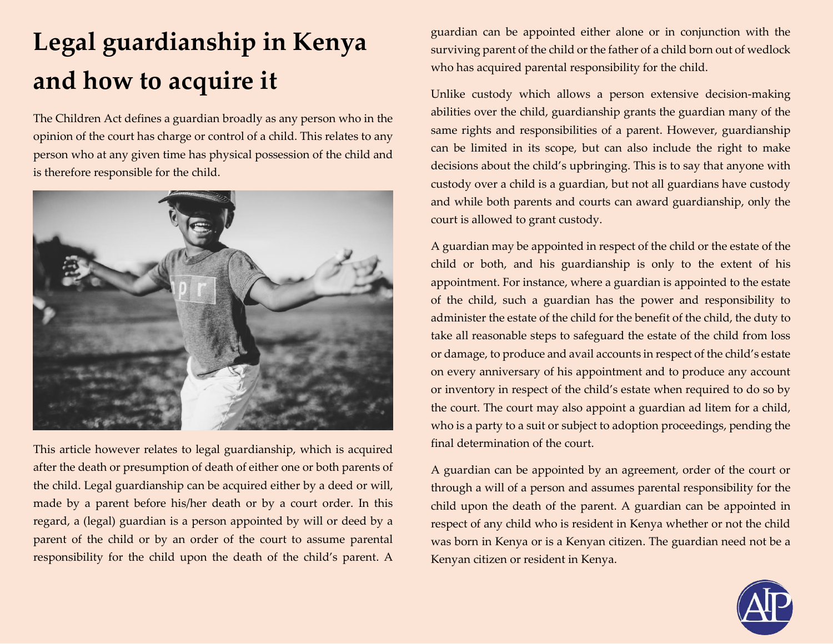## **Legal guardianship in Kenya and how to acquire it**

The Children Act defines a guardian broadly as any person who in the opinion of the court has charge or control of a child. This relates to any person who at any given time has physical possession of the child and is therefore responsible for the child.



This article however relates to legal guardianship, which is acquired after the death or presumption of death of either one or both parents of the child. Legal guardianship can be acquired either by a deed or will, made by a parent before his/her death or by a court order. In this regard, a (legal) guardian is a person appointed by will or deed by a parent of the child or by an order of the court to assume parental responsibility for the child upon the death of the child's parent. A guardian can be appointed either alone or in conjunction with the surviving parent of the child or the father of a child born out of wedlock who has acquired parental responsibility for the child.

Unlike custody which allows a person extensive decision-making abilities over the child, guardianship grants the guardian many of the same rights and responsibilities of a parent. However, guardianship can be limited in its scope, but can also include the right to make decisions about the child's upbringing. This is to say that anyone with custody over a child is a guardian, but not all guardians have custody and while both parents and courts can award guardianship, only the court is allowed to grant custody.

A guardian may be appointed in respect of the child or the estate of the child or both, and his guardianship is only to the extent of his appointment. For instance, where a guardian is appointed to the estate of the child, such a guardian has the power and responsibility to administer the estate of the child for the benefit of the child, the duty to take all reasonable steps to safeguard the estate of the child from loss or damage, to produce and avail accounts in respect of the child's estate on every anniversary of his appointment and to produce any account or inventory in respect of the child's estate when required to do so by the court. The court may also appoint a guardian ad litem for a child, who is a party to a suit or subject to adoption proceedings, pending the final determination of the court.

A guardian can be appointed by an agreement, order of the court or through a will of a person and assumes parental responsibility for the child upon the death of the parent. A guardian can be appointed in respect of any child who is resident in Kenya whether or not the child was born in Kenya or is a Kenyan citizen. The guardian need not be a Kenyan citizen or resident in Kenya.